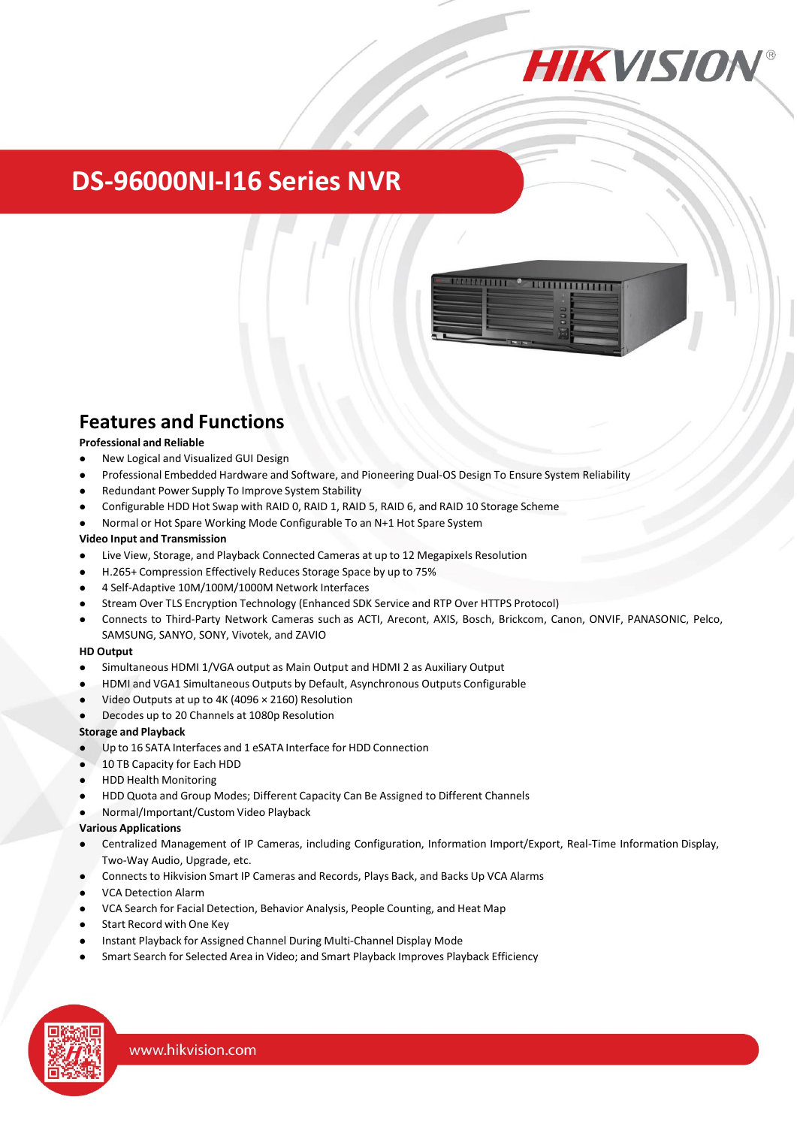

## **DS-96000NI-I16 Series NVR**



### **Features and Functions**

#### **Professional and Reliable**

- New Logical and Visualized GUI Design
- Professional Embedded Hardware and Software, and Pioneering Dual-OS Design To Ensure System Reliability
- Redundant Power Supply To Improve System Stability
- Configurable HDD Hot Swap with RAID 0, RAID 1, RAID 5, RAID 6, and RAID 10 Storage Scheme
- Normal or Hot Spare Working Mode Configurable To an N+1 Hot Spare System

#### **Video Input and Transmission**

- Live View, Storage, and Playback Connected Cameras at up to 12 Megapixels Resolution
- H.265+ Compression Effectively Reduces Storage Space by up to 75%
- 4 Self-Adaptive 10M/100M/1000M Network Interfaces
- Stream Over TLS Encryption Technology (Enhanced SDK Service and RTP Over HTTPS Protocol)
- Connects to Third-Party Network Cameras such as ACTI, Arecont, AXIS, Bosch, Brickcom, Canon, ONVIF, PANASONIC, Pelco, SAMSUNG, SANYO, SONY, Vivotek, and ZAVIO

#### **HD Output**

- Simultaneous HDMI 1/VGA output as Main Output and HDMI 2 as Auxiliary Output
- HDMI and VGA1 Simultaneous Outputs by Default, Asynchronous Outputs Configurable
- Video Outputs at up to 4K (4096 × 2160) Resolution
- Decodes up to 20 Channels at 1080p Resolution

#### **Storage and Playback**

- Up to 16 SATA Interfaces and 1 eSATA Interface for HDD Connection
- 10 TB Capacity for Each HDD
- HDD Health Monitoring
- HDD Quota and Group Modes; Different Capacity Can Be Assigned to Different Channels
- Normal/Important/Custom Video Playback

#### **Various Applications**

- Centralized Management of IP Cameras, including Configuration, Information Import/Export, Real-Time Information Display, Two-Way Audio, Upgrade, etc.
- Connects to Hikvision Smart IP Cameras and Records, Plays Back, and Backs Up VCA Alarms
- VCA Detection Alarm
- VCA Search for Facial Detection, Behavior Analysis, People Counting, and Heat Map
- Start Record with One Key
- Instant Playback for Assigned Channel During Multi-Channel Display Mode
- Smart Search for Selected Area in Video; and Smart Playback Improves Playback Efficiency

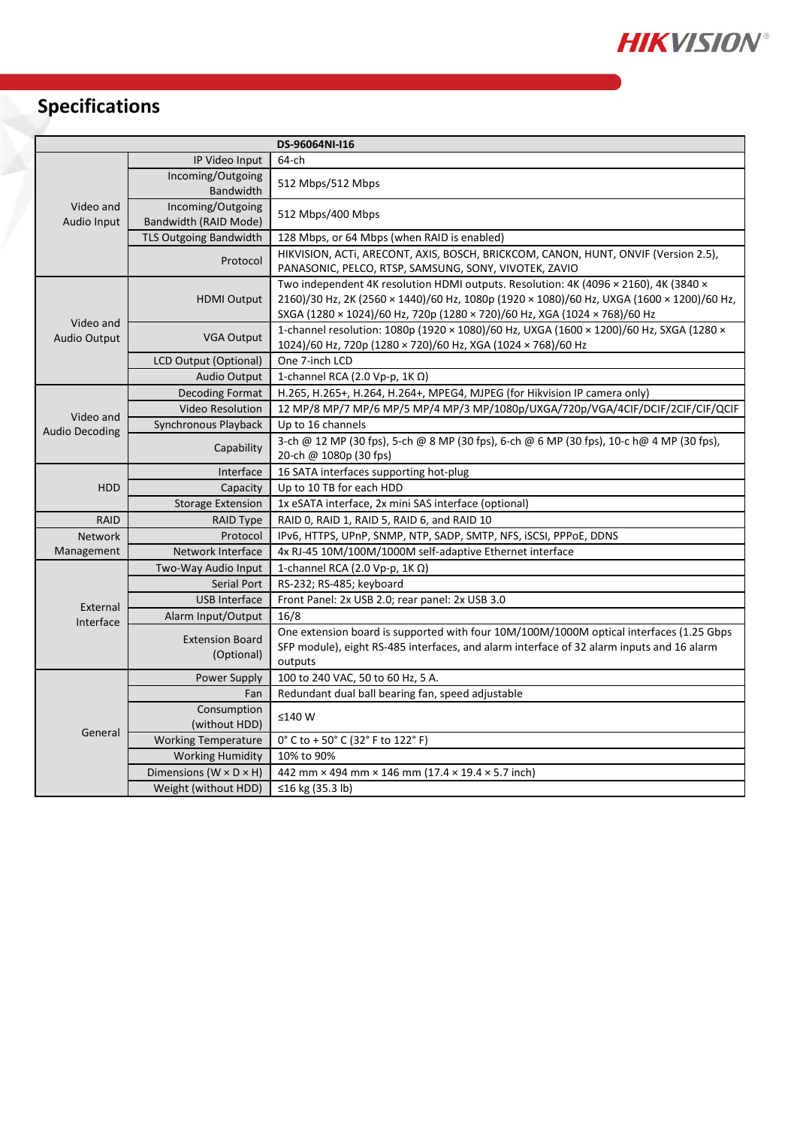

# **Specifications**

| DS-96064NI-I16                     |                                            |                                                                                                                                                                                                                                                                |
|------------------------------------|--------------------------------------------|----------------------------------------------------------------------------------------------------------------------------------------------------------------------------------------------------------------------------------------------------------------|
| Video and<br>Audio Input           | IP Video Input                             | 64-ch                                                                                                                                                                                                                                                          |
|                                    | Incoming/Outgoing<br>Bandwidth             | 512 Mbps/512 Mbps                                                                                                                                                                                                                                              |
|                                    | Incoming/Outgoing<br>Bandwidth (RAID Mode) | 512 Mbps/400 Mbps                                                                                                                                                                                                                                              |
|                                    | <b>TLS Outgoing Bandwidth</b>              | 128 Mbps, or 64 Mbps (when RAID is enabled)                                                                                                                                                                                                                    |
|                                    | Protocol                                   | HIKVISION, ACTI, ARECONT, AXIS, BOSCH, BRICKCOM, CANON, HUNT, ONVIF (Version 2.5),<br>PANASONIC, PELCO, RTSP, SAMSUNG, SONY, VIVOTEK, ZAVIO                                                                                                                    |
| Video and<br>Audio Output          | <b>HDMI Output</b>                         | Two independent 4K resolution HDMI outputs. Resolution: 4K (4096 × 2160), 4K (3840 ×<br>2160)/30 Hz, 2K (2560 × 1440)/60 Hz, 1080p (1920 × 1080)/60 Hz, UXGA (1600 × 1200)/60 Hz,<br>SXGA (1280 × 1024)/60 Hz, 720p (1280 × 720)/60 Hz, XGA (1024 × 768)/60 Hz |
|                                    | <b>VGA Output</b>                          | 1-channel resolution: 1080p (1920 × 1080)/60 Hz, UXGA (1600 × 1200)/60 Hz, SXGA (1280 ×<br>1024)/60 Hz, 720p (1280 × 720)/60 Hz, XGA (1024 × 768)/60 Hz                                                                                                        |
|                                    | <b>LCD Output (Optional)</b>               | One 7-inch LCD                                                                                                                                                                                                                                                 |
|                                    | <b>Audio Output</b>                        | 1-channel RCA (2.0 Vp-p, 1K $\Omega$ )                                                                                                                                                                                                                         |
| Video and<br><b>Audio Decoding</b> | <b>Decoding Format</b>                     | H.265, H.265+, H.264, H.264+, MPEG4, MJPEG (for Hikvision IP camera only)                                                                                                                                                                                      |
|                                    | <b>Video Resolution</b>                    | 12 MP/8 MP/7 MP/6 MP/5 MP/4 MP/3 MP/1080p/UXGA/720p/VGA/4CIF/DCIF/2CIF/CIF/QCIF                                                                                                                                                                                |
|                                    | Synchronous Playback                       | Up to 16 channels                                                                                                                                                                                                                                              |
|                                    | Capability                                 | 3-ch @ 12 MP (30 fps), 5-ch @ 8 MP (30 fps), 6-ch @ 6 MP (30 fps), 10-c h@ 4 MP (30 fps),<br>20-ch @ 1080p (30 fps)                                                                                                                                            |
| <b>HDD</b>                         | Interface                                  | 16 SATA interfaces supporting hot-plug                                                                                                                                                                                                                         |
|                                    | Capacity                                   | Up to 10 TB for each HDD                                                                                                                                                                                                                                       |
|                                    | <b>Storage Extension</b>                   | 1x eSATA interface, 2x mini SAS interface (optional)                                                                                                                                                                                                           |
| <b>RAID</b>                        | <b>RAID Type</b>                           | RAID 0, RAID 1, RAID 5, RAID 6, and RAID 10                                                                                                                                                                                                                    |
| <b>Network</b>                     | Protocol                                   | IPv6, HTTPS, UPnP, SNMP, NTP, SADP, SMTP, NFS, iSCSI, PPPoE, DDNS                                                                                                                                                                                              |
| Management                         | Network Interface                          | 4x RJ-45 10M/100M/1000M self-adaptive Ethernet interface                                                                                                                                                                                                       |
| External<br>Interface              | Two-Way Audio Input                        | 1-channel RCA (2.0 Vp-p, 1ΚΩ)                                                                                                                                                                                                                                  |
|                                    | Serial Port                                | RS-232; RS-485; keyboard                                                                                                                                                                                                                                       |
|                                    | <b>USB Interface</b>                       | Front Panel: 2x USB 2.0; rear panel: 2x USB 3.0                                                                                                                                                                                                                |
|                                    | Alarm Input/Output                         | 16/8                                                                                                                                                                                                                                                           |
|                                    | <b>Extension Board</b><br>(Optional)       | One extension board is supported with four 10M/100M/1000M optical interfaces (1.25 Gbps<br>SFP module), eight RS-485 interfaces, and alarm interface of 32 alarm inputs and 16 alarm<br>outputs                                                                |
| General                            | Power Supply                               | 100 to 240 VAC, 50 to 60 Hz, 5 A.                                                                                                                                                                                                                              |
|                                    | Fan                                        | Redundant dual ball bearing fan, speed adjustable                                                                                                                                                                                                              |
|                                    | Consumption<br>(without HDD)               | ≤140W                                                                                                                                                                                                                                                          |
|                                    | <b>Working Temperature</b>                 | 0° C to + 50° C (32° F to 122° F)                                                                                                                                                                                                                              |
|                                    | <b>Working Humidity</b>                    | 10% to 90%                                                                                                                                                                                                                                                     |
|                                    | Dimensions ( $W \times D \times H$ )       | 442 mm $\times$ 494 mm $\times$ 146 mm (17.4 $\times$ 19.4 $\times$ 5.7 inch)                                                                                                                                                                                  |
|                                    | Weight (without HDD)                       | ≤16 kg (35.3 lb)                                                                                                                                                                                                                                               |